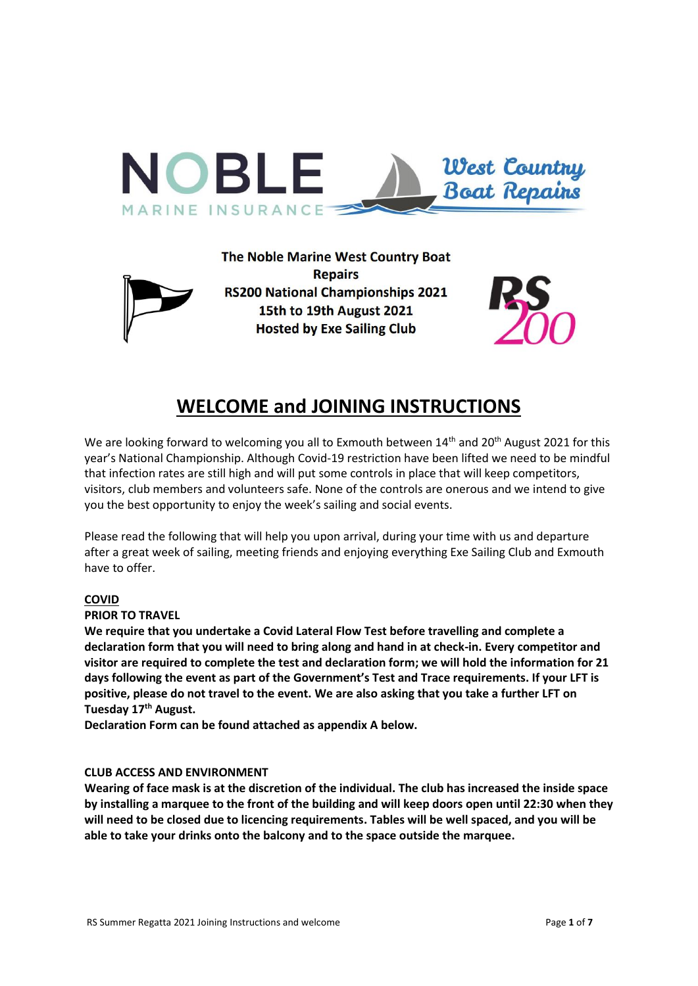



# **WELCOME and JOINING INSTRUCTIONS**

We are looking forward to welcoming you all to Exmouth between 14<sup>th</sup> and 20<sup>th</sup> August 2021 for this year's National Championship. Although Covid-19 restriction have been lifted we need to be mindful that infection rates are still high and will put some controls in place that will keep competitors, visitors, club members and volunteers safe. None of the controls are onerous and we intend to give you the best opportunity to enjoy the week's sailing and social events.

Please read the following that will help you upon arrival, during your time with us and departure after a great week of sailing, meeting friends and enjoying everything Exe Sailing Club and Exmouth have to offer.

# **COVID**

#### **PRIOR TO TRAVEL**

**We require that you undertake a Covid Lateral Flow Test before travelling and complete a declaration form that you will need to bring along and hand in at check-in. Every competitor and visitor are required to complete the test and declaration form; we will hold the information for 21 days following the event as part of the Government's Test and Trace requirements. If your LFT is positive, please do not travel to the event. We are also asking that you take a further LFT on Tuesday 17th August.**

**Declaration Form can be found attached as appendix A below.**

#### **CLUB ACCESS AND ENVIRONMENT**

**Wearing of face mask is at the discretion of the individual. The club has increased the inside space by installing a marquee to the front of the building and will keep doors open until 22:30 when they will need to be closed due to licencing requirements. Tables will be well spaced, and you will be able to take your drinks onto the balcony and to the space outside the marquee.**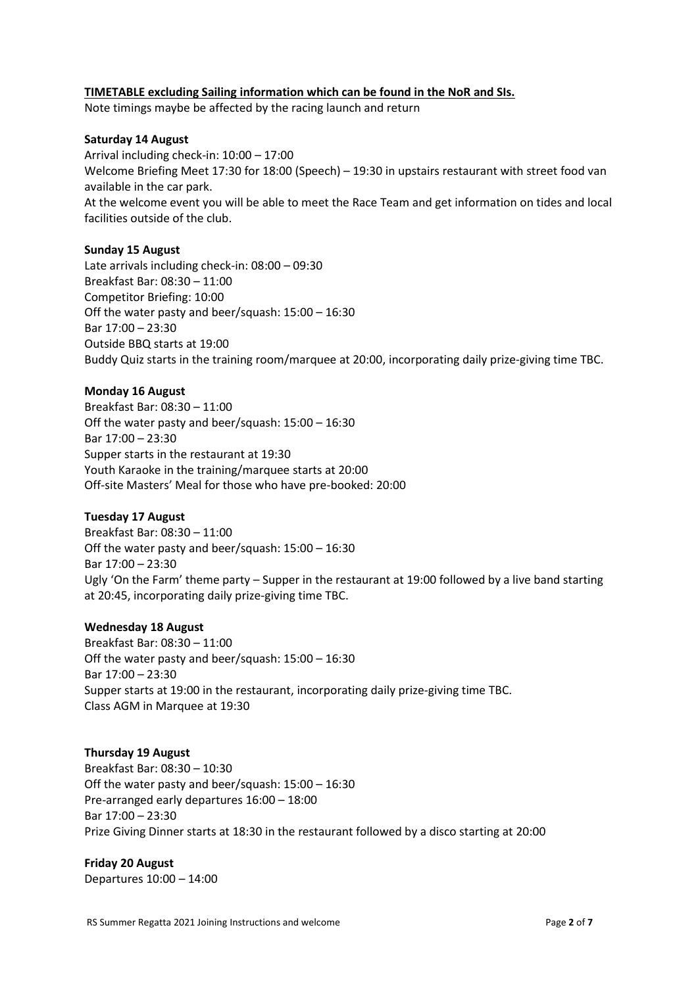## **TIMETABLE excluding Sailing information which can be found in the NoR and SIs.**

Note timings maybe be affected by the racing launch and return

## **Saturday 14 August**

Arrival including check-in: 10:00 – 17:00 Welcome Briefing Meet 17:30 for 18:00 (Speech) – 19:30 in upstairs restaurant with street food van available in the car park. At the welcome event you will be able to meet the Race Team and get information on tides and local facilities outside of the club.

#### **Sunday 15 August**

Late arrivals including check-in: 08:00 – 09:30 Breakfast Bar: 08:30 – 11:00 Competitor Briefing: 10:00 Off the water pasty and beer/squash: 15:00 – 16:30 Bar 17:00 – 23:30 Outside BBQ starts at 19:00 Buddy Quiz starts in the training room/marquee at 20:00, incorporating daily prize-giving time TBC.

#### **Monday 16 August**

Breakfast Bar: 08:30 – 11:00 Off the water pasty and beer/squash: 15:00 – 16:30 Bar 17:00 – 23:30 Supper starts in the restaurant at 19:30 Youth Karaoke in the training/marquee starts at 20:00 Off-site Masters' Meal for those who have pre-booked: 20:00

#### **Tuesday 17 August**

Breakfast Bar: 08:30 – 11:00 Off the water pasty and beer/squash: 15:00 – 16:30 Bar 17:00 – 23:30 Ugly 'On the Farm' theme party – Supper in the restaurant at 19:00 followed by a live band starting at 20:45, incorporating daily prize-giving time TBC.

#### **Wednesday 18 August**

Breakfast Bar: 08:30 – 11:00 Off the water pasty and beer/squash: 15:00 – 16:30 Bar 17:00 – 23:30 Supper starts at 19:00 in the restaurant, incorporating daily prize-giving time TBC. Class AGM in Marquee at 19:30

#### **Thursday 19 August**

Breakfast Bar: 08:30 – 10:30 Off the water pasty and beer/squash: 15:00 – 16:30 Pre-arranged early departures 16:00 – 18:00 Bar 17:00 – 23:30 Prize Giving Dinner starts at 18:30 in the restaurant followed by a disco starting at 20:00

# **Friday 20 August**

Departures 10:00 – 14:00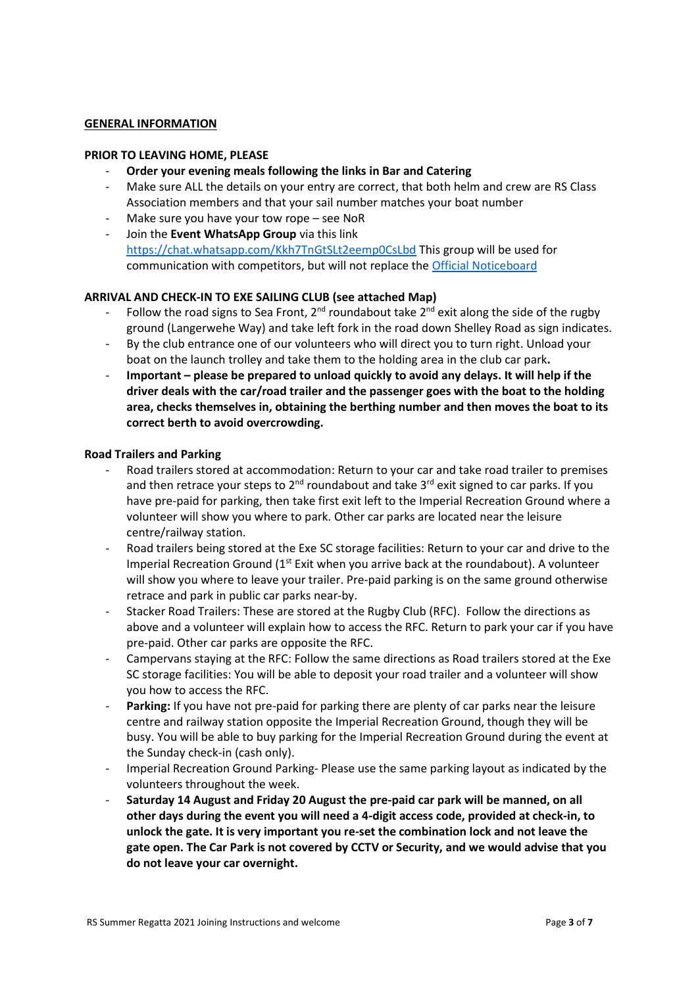#### **GENERAL INFORMATION**

#### **PRIOR TO LEAVING HOME, PLEASE**

- **Order your evening meals following the links in Bar and Catering**
- Make sure ALL the details on your entry are correct, that both helm and crew are RS Class Association members and that your sail number matches your boat number
- Make sure you have your tow rope see NoR
- Join the **Event WhatsApp Group** via this link <https://chat.whatsapp.com/Kkh7TnGtSLt2eemp0CsLbd> This group will be used for communication with competitors, but will not replace th[e Official Noticeboard](https://exe-sailing-club.org/open-events/12-dinghies/233-the-noble-marine-west-country-boat-repairs-rs200-national-championship.html)

# **ARRIVAL AND CHECK-IN TO EXE SAILING CLUB (see attached Map)**

- Follow the road signs to Sea Front,  $2^{nd}$  roundabout take  $2^{nd}$  exit along the side of the rugby ground (Langerwehe Way) and take left fork in the road down Shelley Road as sign indicates.
- By the club entrance one of our volunteers who will direct you to turn right. Unload your boat on the launch trolley and take them to the holding area in the club car park**.**
- **Important – please be prepared to unload quickly to avoid any delays. It will help if the driver deals with the car/road trailer and the passenger goes with the boat to the holding area, checks themselves in, obtaining the berthing number and then moves the boat to its correct berth to avoid overcrowding.**

## **Road Trailers and Parking**

- Road trailers stored at accommodation: Return to your car and take road trailer to premises and then retrace your steps to 2<sup>nd</sup> roundabout and take 3<sup>rd</sup> exit signed to car parks. If you have pre-paid for parking, then take first exit left to the Imperial Recreation Ground where a volunteer will show you where to park. Other car parks are located near the leisure centre/railway station.
- Road trailers being stored at the Exe SC storage facilities: Return to your car and drive to the Imperial Recreation Ground  $(1<sup>st</sup>$  Exit when you arrive back at the roundabout). A volunteer will show you where to leave your trailer. Pre-paid parking is on the same ground otherwise retrace and park in public car parks near-by.
- Stacker Road Trailers: These are stored at the Rugby Club (RFC). Follow the directions as above and a volunteer will explain how to access the RFC. Return to park your car if you have pre-paid. Other car parks are opposite the RFC.
- Campervans staying at the RFC: Follow the same directions as Road trailers stored at the Exe SC storage facilities: You will be able to deposit your road trailer and a volunteer will show you how to access the RFC.
- **Parking:** If you have not pre-paid for parking there are plenty of car parks near the leisure centre and railway station opposite the Imperial Recreation Ground, though they will be busy. You will be able to buy parking for the Imperial Recreation Ground during the event at the Sunday check-in (cash only).
- Imperial Recreation Ground Parking- Please use the same parking layout as indicated by the volunteers throughout the week.
- **Saturday 14 August and Friday 20 August the pre-paid car park will be manned, on all other days during the event you will need a 4-digit access code, provided at check-in, to unlock the gate. It is very important you re-set the combination lock and not leave the gate open. The Car Park is not covered by CCTV or Security, and we would advise that you do not leave your car overnight.**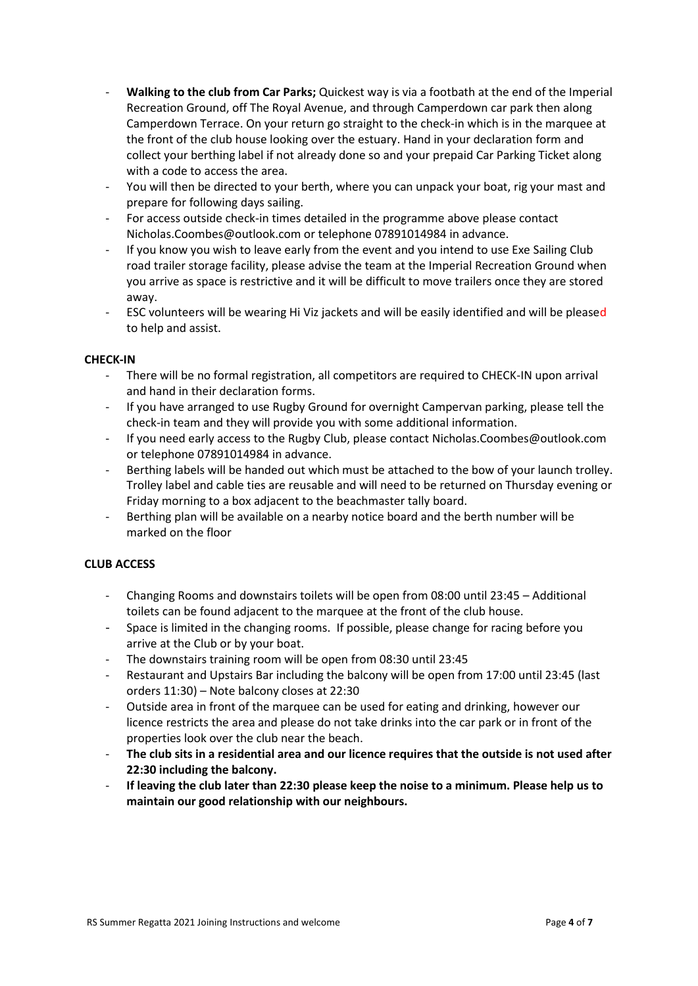- **Walking to the club from Car Parks;** Quickest way is via a footbath at the end of the Imperial Recreation Ground, off The Royal Avenue, and through Camperdown car park then along Camperdown Terrace. On your return go straight to the check-in which is in the marquee at the front of the club house looking over the estuary. Hand in your declaration form and collect your berthing label if not already done so and your prepaid Car Parking Ticket along with a code to access the area.
- You will then be directed to your berth, where you can unpack your boat, rig your mast and prepare for following days sailing.
- For access outside check-in times detailed in the programme above please contact Nicholas.Coombes@outlook.com or telephone 07891014984 in advance.
- If you know you wish to leave early from the event and you intend to use Exe Sailing Club road trailer storage facility, please advise the team at the Imperial Recreation Ground when you arrive as space is restrictive and it will be difficult to move trailers once they are stored away.
- ESC volunteers will be wearing Hi Viz jackets and will be easily identified and will be pleased to help and assist.

# **CHECK-IN**

- There will be no formal registration, all competitors are required to CHECK-IN upon arrival and hand in their declaration forms.
- If you have arranged to use Rugby Ground for overnight Campervan parking, please tell the check-in team and they will provide you with some additional information.
- If you need early access to the Rugby Club, please contact Nicholas.Coombes@outlook.com or telephone 07891014984 in advance.
- Berthing labels will be handed out which must be attached to the bow of your launch trolley. Trolley label and cable ties are reusable and will need to be returned on Thursday evening or Friday morning to a box adjacent to the beachmaster tally board.
- Berthing plan will be available on a nearby notice board and the berth number will be marked on the floor

# **CLUB ACCESS**

- Changing Rooms and downstairs toilets will be open from 08:00 until 23:45 Additional toilets can be found adjacent to the marquee at the front of the club house.
- Space is limited in the changing rooms. If possible, please change for racing before you arrive at the Club or by your boat.
- The downstairs training room will be open from 08:30 until 23:45
- Restaurant and Upstairs Bar including the balcony will be open from 17:00 until 23:45 (last orders 11:30) – Note balcony closes at 22:30
- Outside area in front of the marquee can be used for eating and drinking, however our licence restricts the area and please do not take drinks into the car park or in front of the properties look over the club near the beach.
- **The club sits in a residential area and our licence requires that the outside is not used after 22:30 including the balcony.**
- **If leaving the club later than 22:30 please keep the noise to a minimum. Please help us to maintain our good relationship with our neighbours.**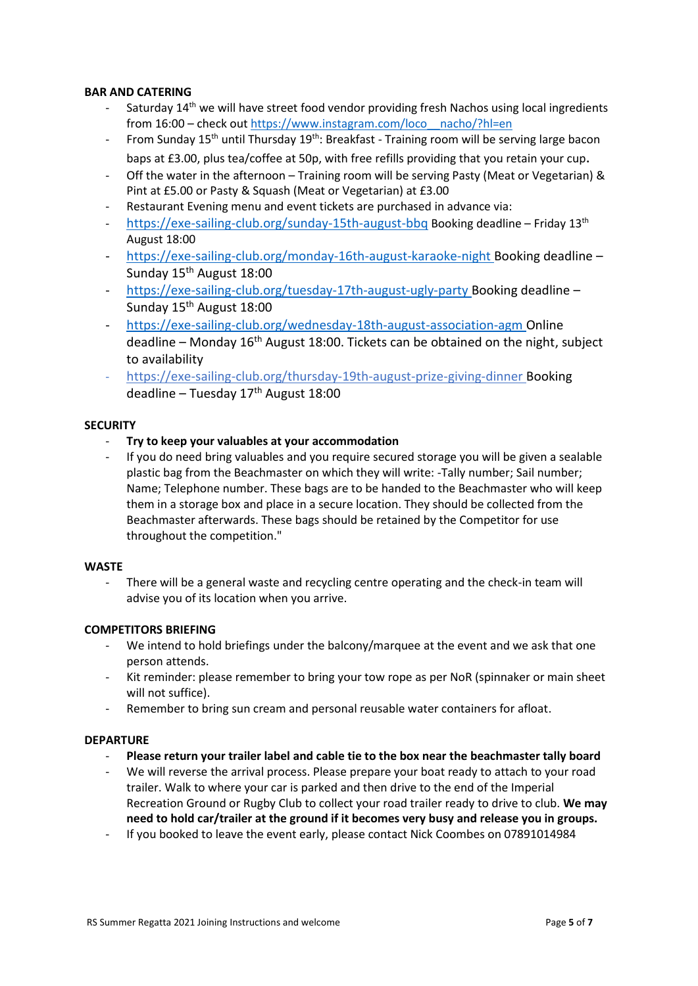## **BAR AND CATERING**

- Saturday 14<sup>th</sup> we will have street food vendor providing fresh Nachos using local ingredients from 16:00 – check out [https://www.instagram.com/loco\\_\\_nacho/?hl=en](https://www.instagram.com/loco__nacho/?hl=en)
- From Sunday 15<sup>th</sup> until Thursday 19<sup>th</sup>: Breakfast Training room will be serving large bacon baps at £3.00, plus tea/coffee at 50p, with free refills providing that you retain your cup.
- Off the water in the afternoon Training room will be serving Pasty (Meat or Vegetarian) & Pint at £5.00 or Pasty & Squash (Meat or Vegetarian) at £3.00
- Restaurant Evening menu and event tickets are purchased in advance via:
- <https://exe-sailing-club.org/sunday-15th-august-bbq> Booking deadline Friday 13<sup>th</sup> August 18:00
- <https://exe-sailing-club.org/monday-16th-august-karaoke-night> Booking deadline Sunday 15<sup>th</sup> August 18:00
- <https://exe-sailing-club.org/tuesday-17th-august-ugly-party> Booking deadline Sunday 15th August 18:00
- <https://exe-sailing-club.org/wednesday-18th-august-association-agm> Online deadline – Monday  $16<sup>th</sup>$  August 18:00. Tickets can be obtained on the night, subject to availability
- [https://exe-sailing-club.org/thursday-19th-august-prize-giving-dinner](https://emea01.safelinks.protection.outlook.com/?url=https%3A%2F%2Fexe-sailing-club.org%2Fthursday-19th-august-prize-giving-dinner&data=04%7C01%7C%7C754232c6516148e3355208d94d2927d8%7C84df9e7fe9f640afb435aaaaaaaaaaaa%7C1%7C0%7C637625661428730453%7CUnknown%7CTWFpbGZsb3d8eyJWIjoiMC4wLjAwMDAiLCJQIjoiV2luMzIiLCJBTiI6Ik1haWwiLCJXVCI6Mn0%3D%7C1000&sdata=1wXidnaqX4kP%2BxK5Il%2BPTJ1K1LYjqvJGRpaZrcPfmWU%3D&reserved=0) Booking deadline – Tuesday  $17<sup>th</sup>$  August  $18:00$

#### **SECURITY**

- **Try to keep your valuables at your accommodation**
- If you do need bring valuables and you require secured storage you will be given a sealable plastic bag from the Beachmaster on which they will write: -Tally number; Sail number; Name; Telephone number. These bags are to be handed to the Beachmaster who will keep them in a storage box and place in a secure location. They should be collected from the Beachmaster afterwards. These bags should be retained by the Competitor for use throughout the competition."

# **WASTE**

There will be a general waste and recycling centre operating and the check-in team will advise you of its location when you arrive.

# **COMPETITORS BRIEFING**

- We intend to hold briefings under the balcony/marquee at the event and we ask that one person attends.
- Kit reminder: please remember to bring your tow rope as per NoR (spinnaker or main sheet will not suffice).
- Remember to bring sun cream and personal reusable water containers for afloat.

# **DEPARTURE**

- **Please return your trailer label and cable tie to the box near the beachmaster tally board**
- We will reverse the arrival process. Please prepare your boat ready to attach to your road trailer. Walk to where your car is parked and then drive to the end of the Imperial Recreation Ground or Rugby Club to collect your road trailer ready to drive to club. **We may need to hold car/trailer at the ground if it becomes very busy and release you in groups.**
- If you booked to leave the event early, please contact Nick Coombes on 07891014984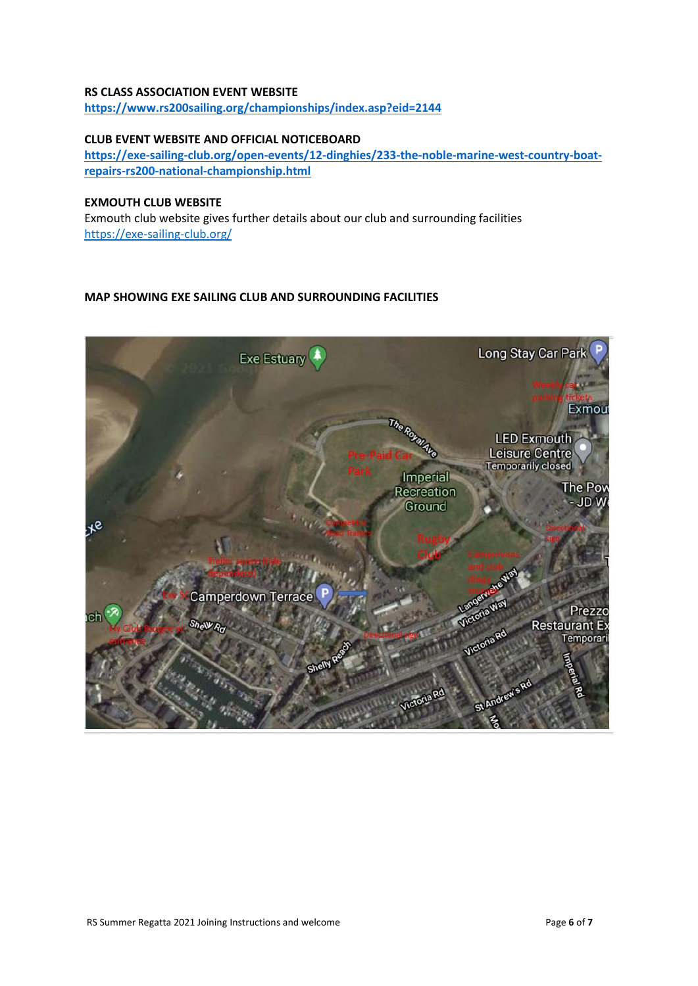#### **RS CLASS ASSOCIATION EVENT WEBSITE**

**<https://www.rs200sailing.org/championships/index.asp?eid=2144>**

# **CLUB EVENT WEBSITE AND OFFICIAL NOTICEBOARD**

**[https://exe-sailing-club.org/open-events/12-dinghies/233-the-noble-marine-west-country-boat](https://exe-sailing-club.org/open-events/12-dinghies/233-the-noble-marine-west-country-boat-repairs-rs200-national-championship.html)[repairs-rs200-national-championship.html](https://exe-sailing-club.org/open-events/12-dinghies/233-the-noble-marine-west-country-boat-repairs-rs200-national-championship.html)** 

# **EXMOUTH CLUB WEBSITE**

Exmouth club website gives further details about our club and surrounding facilities <https://exe-sailing-club.org/>

# **MAP SHOWING EXE SAILING CLUB AND SURROUNDING FACILITIES**